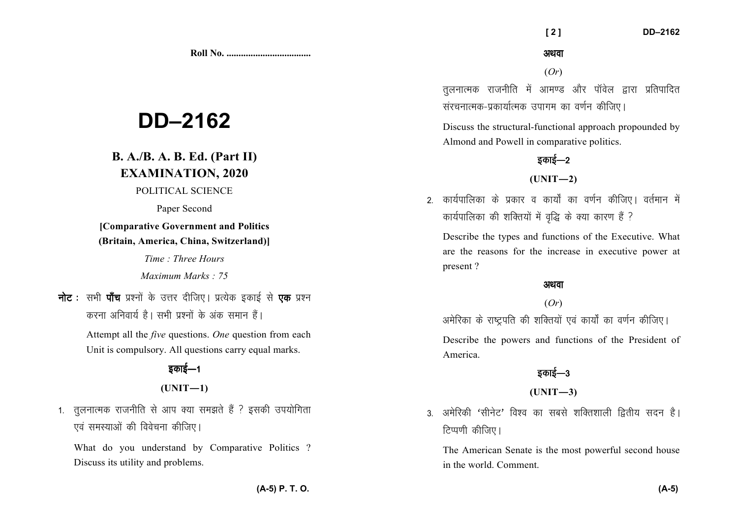**Roll No. ...................................** 

# **DD–2162**

# **B. A./B. A. B. Ed. (Part II) EXAMINATION, 2020**

#### POLITICAL SCIENCE

Paper Second

### **[Comparative Government and Politics (Britain, America, China, Switzerland)]**

*Time : Three Hours* 

*Maximum Marks : 75*

नोट : सभी पाँच प्रश्नों के उत्तर दीजिए। प्रत्येक इकाई से **एक** प्रश्न करना अनिवार्य है। सभी प्रश्नों के अंक समान हैं।

> Attempt all the *five* questions. *One* question from each Unit is compulsory. All questions carry equal marks.

# डकाई—1

### **(UNIT—1)**

1. तलनात्मक राजनीति से आप क्या समझते हैं ? इसकी उपयोगिता एवं समस्याओं की विवेचना कीजिए।

What do you understand by Comparative Politics ? Discuss its utility and problems.

अथवा

 **[ 2 ] DD–2162** 

(*Or*)

तलनात्मक राजनीति में आमण्ड और पॉवेल द्वारा प्रतिपादित संरचनात्मक-प्रकार्यात्मक उपागम का वर्णन कीजिए।

Discuss the structural-functional approach propounded by Almond and Powell in comparative politics.

# डकाई—2

**(UNIT—2)** 

2- कार्यपालिका के प्रकार व कार्यों का वर्णन कीजिए। वर्तमान में कार्यपालिका की शक्तियों में वृद्धि के क्या कारण हैं ?

Describe the types and functions of the Executive. What are the reasons for the increase in executive power at present ?

#### अथवा

#### (*Or*)

अमेरिका के राष्ट्रपति की शक्तियों एवं कार्यों का वर्णन कीजिए।

Describe the powers and functions of the President of America.

### डकाई—3

#### **(UNIT—3)**

3. अमेरिकी 'सीनेट' विश्व का सबसे शक्तिशाली द्वितीय सदन है। टिप्पणी कीजिए।

The American Senate is the most powerful second house in the world. Comment.